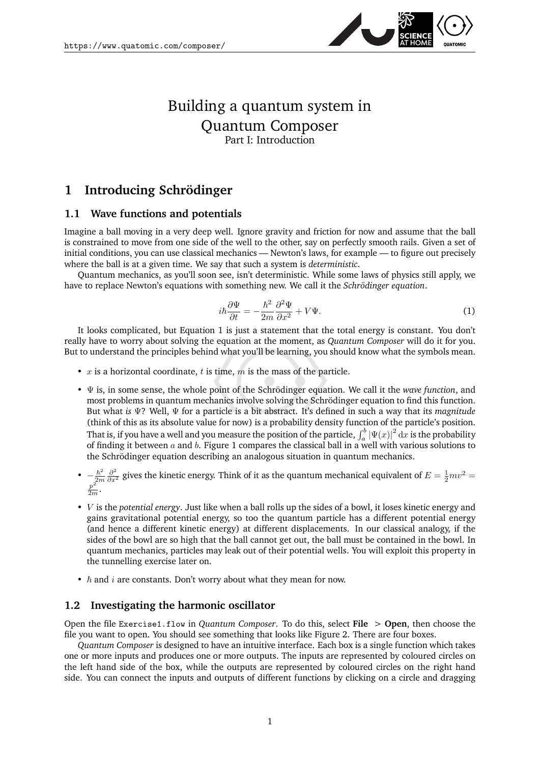

## Building a quantum system in Quantum Composer Part I: Introduction

## **1 Introducing Schrödinger**

## **1.1 Wave functions and potentials**

Imagine a ball moving in a very deep well. Ignore gravity and friction for now and assume that the ball is constrained to move from one side of the well to the other, say on perfectly smooth rails. Given a set of initial conditions, you can use classical mechanics — Newton's laws, for example — to figure out precisely where the ball is at a given time. We say that such a system is *deterministic*.

Quantum mechanics, as you'll soon see, isn't deterministic. While some laws of physics still apply, we have to replace Newton's equations with something new. We call it the *Schrödinger equation*.

<span id="page-0-0"></span>
$$
i\hbar \frac{\partial \Psi}{\partial t} = -\frac{\hbar^2}{2m} \frac{\partial^2 \Psi}{\partial x^2} + V\Psi.
$$
\n(1)

It looks complicated, but Equation [1](#page-0-0) is just a statement that the total energy is constant. You don't really have to worry about solving the equation at the moment, as *Quantum Composer* will do it for you. But to understand the principles behind what you'll be learning, you should know what the symbols mean.

- $x$  is a horizontal coordinate,  $t$  is time,  $m$  is the mass of the particle.
- Ψ is, in some sense, the whole point of the Schrödinger equation. We call it the *wave function*, and most problems in quantum mechanics involve solving the Schrödinger equation to find this function. But what *is* Ψ? Well, Ψ for a particle is a bit abstract. It's defined in such a way that its *magnitude* (think of this as its absolute value for now) is a probability density function of the particle's position. That is, if you have a well and you measure the position of the particle,  $\int_a^b |\Psi(x)|^2\,\mathrm{d}x$  is the probability of finding it between  $a$  and  $b$ . Figure [1](#page-1-0) compares the classical ball in a well with various solutions to the Schrödinger equation describing an analogous situation in quantum mechanics.
- $\bullet \quad -\frac{\hbar^2}{2m}$  $-\frac{\hbar^2}{2m}\frac{\partial^2}{\partial x^2}$  gives the kinetic energy. Think of it as the quantum mechanical equivalent of  $E = \frac{1}{2}mv^2 = \frac{p^2}{2m}$ .
- V is the *potential energy*. Just like when a ball rolls up the sides of a bowl, it loses kinetic energy and gains gravitational potential energy, so too the quantum particle has a different potential energy (and hence a different kinetic energy) at different displacements. In our classical analogy, if the sides of the bowl are so high that the ball cannot get out, the ball must be contained in the bowl. In quantum mechanics, particles may leak out of their potential wells. You will exploit this property in the tunnelling exercise later on.
- $\hbar$  and *i* are constants. Don't worry about what they mean for now.

## **1.2 Investigating the harmonic oscillator**

Open the file Exercise1.flow in *Quantum Composer*. To do this, select **File** > **Open**, then choose the file you want to open. You should see something that looks like Figure [2.](#page-1-1) There are four boxes.

*Quantum Composer* is designed to have an intuitive interface. Each box is a single function which takes one or more inputs and produces one or more outputs. The inputs are represented by coloured circles on the left hand side of the box, while the outputs are represented by coloured circles on the right hand side. You can connect the inputs and outputs of different functions by clicking on a circle and dragging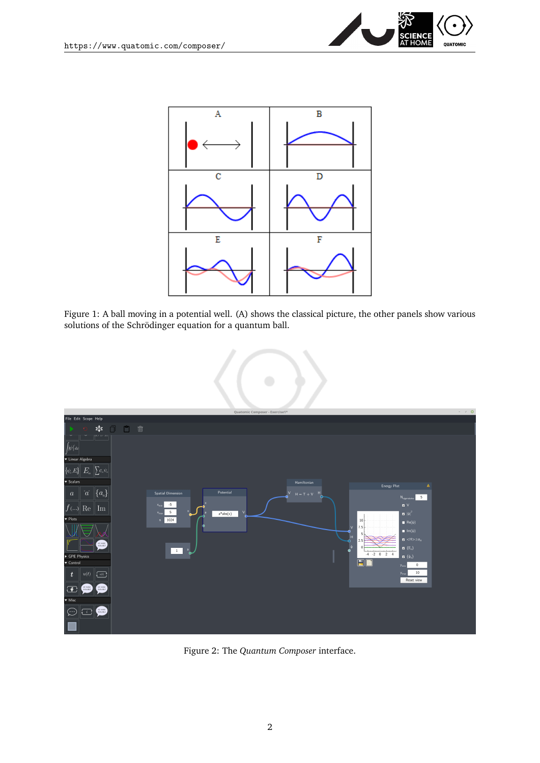



<span id="page-1-0"></span>Figure 1: A ball moving in a potential well. (A) shows the classical picture, the other panels show various solutions of the Schrödinger equation for a quantum ball.



<span id="page-1-1"></span>Figure 2: The *Quantum Composer* interface.